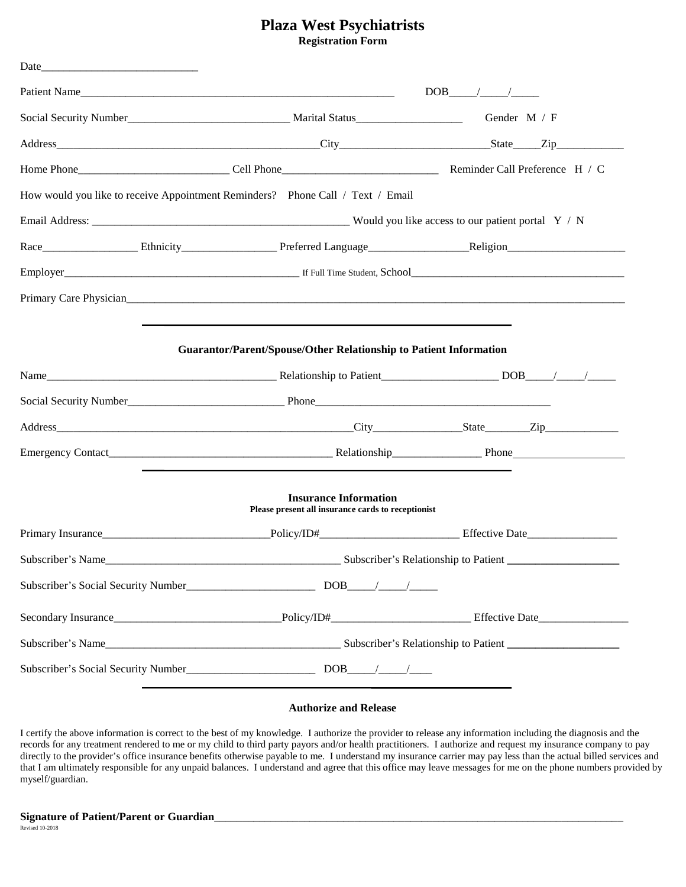## **Plaza West Psychiatrists Registration Form**

| Date_             |                                                                                                                                                                                 |  |  |  |  |
|-------------------|---------------------------------------------------------------------------------------------------------------------------------------------------------------------------------|--|--|--|--|
|                   | Patient Name                                                                                                                                                                    |  |  |  |  |
|                   |                                                                                                                                                                                 |  |  |  |  |
|                   |                                                                                                                                                                                 |  |  |  |  |
|                   |                                                                                                                                                                                 |  |  |  |  |
|                   | How would you like to receive Appointment Reminders? Phone Call / Text / Email                                                                                                  |  |  |  |  |
|                   |                                                                                                                                                                                 |  |  |  |  |
|                   | Race Ethnicity Ethnicity Preferred Language Religion Religion                                                                                                                   |  |  |  |  |
|                   |                                                                                                                                                                                 |  |  |  |  |
|                   |                                                                                                                                                                                 |  |  |  |  |
|                   |                                                                                                                                                                                 |  |  |  |  |
|                   | <b>Guarantor/Parent/Spouse/Other Relationship to Patient Information</b>                                                                                                        |  |  |  |  |
|                   |                                                                                                                                                                                 |  |  |  |  |
|                   |                                                                                                                                                                                 |  |  |  |  |
|                   |                                                                                                                                                                                 |  |  |  |  |
|                   |                                                                                                                                                                                 |  |  |  |  |
|                   |                                                                                                                                                                                 |  |  |  |  |
|                   | <b>Insurance Information</b><br>Please present all insurance cards to receptionist                                                                                              |  |  |  |  |
|                   |                                                                                                                                                                                 |  |  |  |  |
| Subscriber's Name | Subscriber's Relationship to Patient _______________                                                                                                                            |  |  |  |  |
|                   |                                                                                                                                                                                 |  |  |  |  |
|                   | Subscriber's Social Security Number<br><u> Land Contract Construction</u> DOB<br><u> Land Construction</u> DOB<br><u> Land Construction</u> DOB<br><u>Land Construction</u> DOB |  |  |  |  |
|                   |                                                                                                                                                                                 |  |  |  |  |
|                   |                                                                                                                                                                                 |  |  |  |  |

#### **Authorize and Release**

I certify the above information is correct to the best of my knowledge. I authorize the provider to release any information including the diagnosis and the records for any treatment rendered to me or my child to third party payors and/or health practitioners. I authorize and request my insurance company to pay directly to the provider's office insurance benefits otherwise payable to me. I understand my insurance carrier may pay less than the actual billed services and that I am ultimately responsible for any unpaid balances. I understand and agree that this office may leave messages for me on the phone numbers provided by myself/guardian.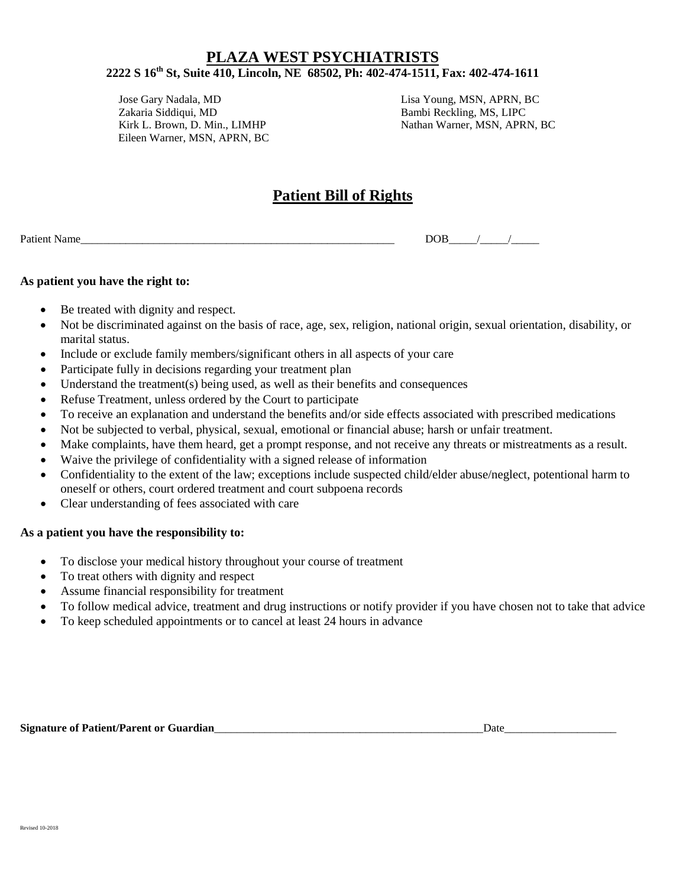Jose Gary Nadala, MD Lisa Young, MSN, APRN, BC Zakaria Siddiqui, MD Bambi Reckling, MS, LIPC Eileen Warner, MSN, APRN, BC

Nathan Warner, MSN, APRN, BC

# **Patient Bill of Rights**

| $P_{\rm 2}$ | м |
|-------------|---|
|             |   |

#### **As patient you have the right to:**

- Be treated with dignity and respect.
- Not be discriminated against on the basis of race, age, sex, religion, national origin, sexual orientation, disability, or marital status.
- Include or exclude family members/significant others in all aspects of your care
- Participate fully in decisions regarding your treatment plan
- Understand the treatment(s) being used, as well as their benefits and consequences
- Refuse Treatment, unless ordered by the Court to participate
- To receive an explanation and understand the benefits and/or side effects associated with prescribed medications
- Not be subjected to verbal, physical, sexual, emotional or financial abuse; harsh or unfair treatment.
- Make complaints, have them heard, get a prompt response, and not receive any threats or mistreatments as a result.
- Waive the privilege of confidentiality with a signed release of information
- Confidentiality to the extent of the law; exceptions include suspected child/elder abuse/neglect, potentional harm to oneself or others, court ordered treatment and court subpoena records
- Clear understanding of fees associated with care

#### **As a patient you have the responsibility to:**

- To disclose your medical history throughout your course of treatment
- To treat others with dignity and respect
- Assume financial responsibility for treatment
- To follow medical advice, treatment and drug instructions or notify provider if you have chosen not to take that advice
- To keep scheduled appointments or to cancel at least 24 hours in advance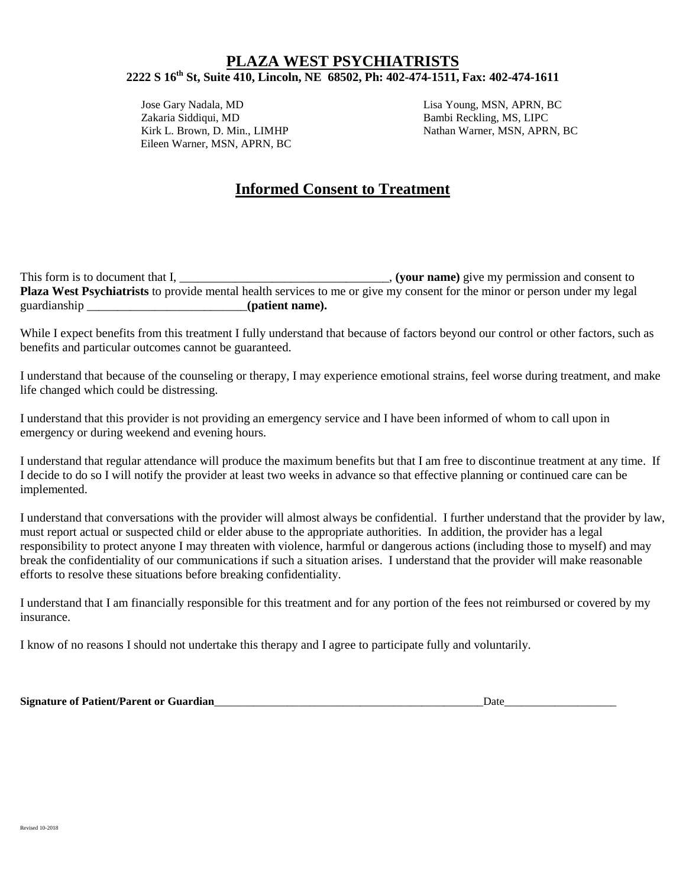Jose Gary Nadala, MD Lisa Young, MSN, APRN, BC Zakaria Siddiqui, MD Bambi Reckling, MS, LIPC Eileen Warner, MSN, APRN, BC

Nathan Warner, MSN, APRN, BC

# **Informed Consent to Treatment**

This form is to document that I, \_\_\_\_\_\_\_\_\_\_\_\_\_\_\_\_\_\_\_\_\_\_\_\_\_\_\_\_\_\_\_\_, (your name) give my permission and consent to **Plaza West Psychiatrists** to provide mental health services to me or give my consent for the minor or person under my legal guardianship  $($ **patient name**).

While I expect benefits from this treatment I fully understand that because of factors beyond our control or other factors, such as benefits and particular outcomes cannot be guaranteed.

I understand that because of the counseling or therapy, I may experience emotional strains, feel worse during treatment, and make life changed which could be distressing.

I understand that this provider is not providing an emergency service and I have been informed of whom to call upon in emergency or during weekend and evening hours.

I understand that regular attendance will produce the maximum benefits but that I am free to discontinue treatment at any time. If I decide to do so I will notify the provider at least two weeks in advance so that effective planning or continued care can be implemented.

I understand that conversations with the provider will almost always be confidential. I further understand that the provider by law, must report actual or suspected child or elder abuse to the appropriate authorities. In addition, the provider has a legal responsibility to protect anyone I may threaten with violence, harmful or dangerous actions (including those to myself) and may break the confidentiality of our communications if such a situation arises. I understand that the provider will make reasonable efforts to resolve these situations before breaking confidentiality.

I understand that I am financially responsible for this treatment and for any portion of the fees not reimbursed or covered by my insurance.

I know of no reasons I should not undertake this therapy and I agree to participate fully and voluntarily.

**Signature of Patient/Parent or Guardian**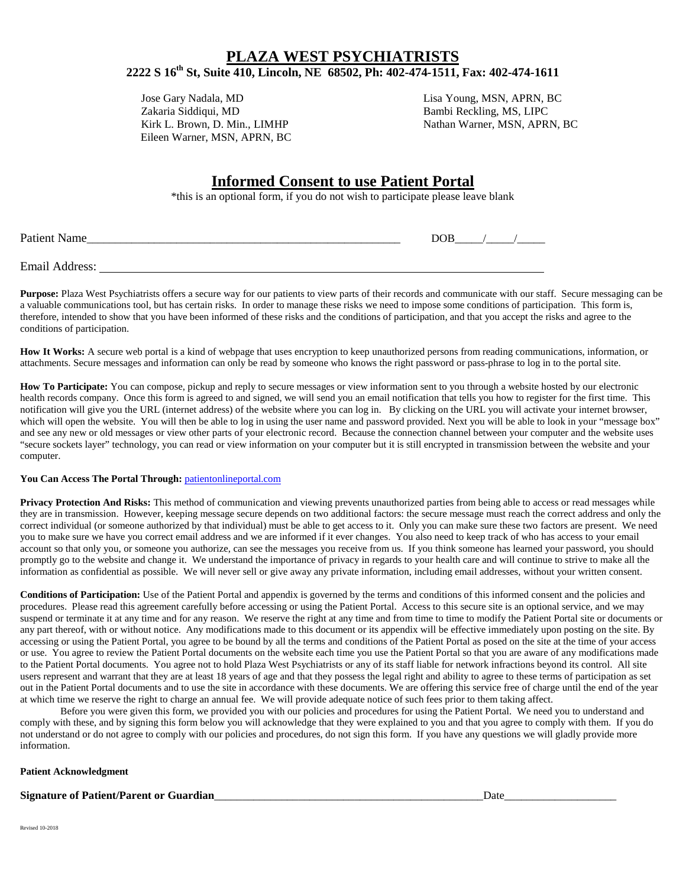Jose Gary Nadala, MD Lisa Young, MSN, APRN, BC Eileen Warner, MSN, APRN, BC

Bambi Reckling, MS, LIPC Kirk L. Brown, D. Min., LIMHP Nathan Warner, MSN, APRN, BC

# **Informed Consent to use Patient Portal**

\*this is an optional form, if you do not wish to participate please leave blank

| <b>Patient Name</b>   | COR |  |
|-----------------------|-----|--|
|                       |     |  |
| <b>Email Address:</b> |     |  |

Purpose: Plaza West Psychiatrists offers a secure way for our patients to view parts of their records and communicate with our staff. Secure messaging can be a valuable communications tool, but has certain risks. In order to manage these risks we need to impose some conditions of participation. This form is, therefore, intended to show that you have been informed of these risks and the conditions of participation, and that you accept the risks and agree to the conditions of participation.

**How It Works:** A secure web portal is a kind of webpage that uses encryption to keep unauthorized persons from reading communications, information, or attachments. Secure messages and information can only be read by someone who knows the right password or pass-phrase to log in to the portal site.

**How To Participate:** You can compose, pickup and reply to secure messages or view information sent to you through a website hosted by our electronic health records company. Once this form is agreed to and signed, we will send you an email notification that tells you how to register for the first time. This notification will give you the URL (internet address) of the website where you can log in. By clicking on the URL you will activate your internet browser, which will open the website. You will then be able to log in using the user name and password provided. Next you will be able to look in your "message box" and see any new or old messages or view other parts of your electronic record. Because the connection channel between your computer and the website uses "secure sockets layer" technology, you can read or view information on your computer but it is still encrypted in transmission between the website and your computer.

#### **You Can Access The Portal Through:** [patientonlineportal.com](http://www.followmyhealth.com/)

**Privacy Protection And Risks:** This method of communication and viewing prevents unauthorized parties from being able to access or read messages while they are in transmission. However, keeping message secure depends on two additional factors: the secure message must reach the correct address and only the correct individual (or someone authorized by that individual) must be able to get access to it. Only you can make sure these two factors are present. We need you to make sure we have you correct email address and we are informed if it ever changes. You also need to keep track of who has access to your email account so that only you, or someone you authorize, can see the messages you receive from us. If you think someone has learned your password, you should promptly go to the website and change it. We understand the importance of privacy in regards to your health care and will continue to strive to make all the information as confidential as possible. We will never sell or give away any private information, including email addresses, without your written consent.

**Conditions of Participation:** Use of the Patient Portal and appendix is governed by the terms and conditions of this informed consent and the policies and procedures. Please read this agreement carefully before accessing or using the Patient Portal. Access to this secure site is an optional service, and we may suspend or terminate it at any time and for any reason. We reserve the right at any time and from time to time to modify the Patient Portal site or documents or any part thereof, with or without notice. Any modifications made to this document or its appendix will be effective immediately upon posting on the site. By accessing or using the Patient Portal, you agree to be bound by all the terms and conditions of the Patient Portal as posed on the site at the time of your access or use. You agree to review the Patient Portal documents on the website each time you use the Patient Portal so that you are aware of any modifications made to the Patient Portal documents. You agree not to hold Plaza West Psychiatrists or any of its staff liable for network infractions beyond its control. All site users represent and warrant that they are at least 18 years of age and that they possess the legal right and ability to agree to these terms of participation as set out in the Patient Portal documents and to use the site in accordance with these documents. We are offering this service free of charge until the end of the year at which time we reserve the right to charge an annual fee. We will provide adequate notice of such fees prior to them taking affect.

Before you were given this form, we provided you with our policies and procedures for using the Patient Portal. We need you to understand and comply with these, and by signing this form below you will acknowledge that they were explained to you and that you agree to comply with them. If you do not understand or do not agree to comply with our policies and procedures, do not sign this form. If you have any questions we will gladly provide more information.

#### **Patient Acknowledgment**

#### **Signature of Patient/Parent or Guardian**

Revised 10-2018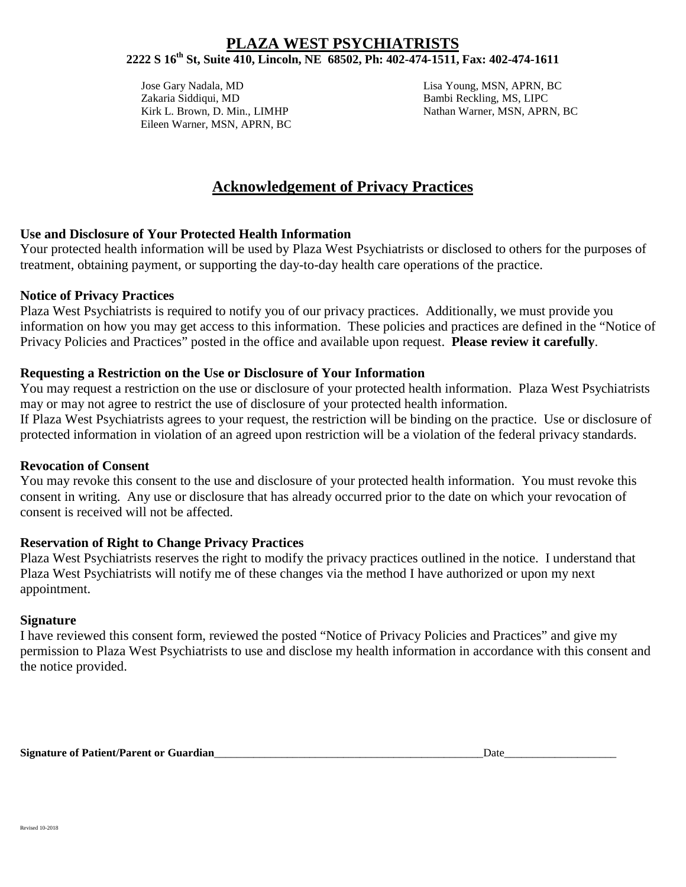Jose Gary Nadala, MD Lisa Young, MSN, APRN, BC Zakaria Siddiqui, MD Bambi Reckling, MS, LIPC Eileen Warner, MSN, APRN, BC

Kirk L. Brown, D. Min., LIMHP Nathan Warner, MSN, APRN, BC

# **Acknowledgement of Privacy Practices**

## **Use and Disclosure of Your Protected Health Information**

Your protected health information will be used by Plaza West Psychiatrists or disclosed to others for the purposes of treatment, obtaining payment, or supporting the day-to-day health care operations of the practice.

### **Notice of Privacy Practices**

Plaza West Psychiatrists is required to notify you of our privacy practices. Additionally, we must provide you information on how you may get access to this information. These policies and practices are defined in the "Notice of Privacy Policies and Practices" posted in the office and available upon request. **Please review it carefully**.

## **Requesting a Restriction on the Use or Disclosure of Your Information**

You may request a restriction on the use or disclosure of your protected health information. Plaza West Psychiatrists may or may not agree to restrict the use of disclosure of your protected health information. If Plaza West Psychiatrists agrees to your request, the restriction will be binding on the practice. Use or disclosure of protected information in violation of an agreed upon restriction will be a violation of the federal privacy standards.

### **Revocation of Consent**

You may revoke this consent to the use and disclosure of your protected health information. You must revoke this consent in writing. Any use or disclosure that has already occurred prior to the date on which your revocation of consent is received will not be affected.

## **Reservation of Right to Change Privacy Practices**

Plaza West Psychiatrists reserves the right to modify the privacy practices outlined in the notice. I understand that Plaza West Psychiatrists will notify me of these changes via the method I have authorized or upon my next appointment.

### **Signature**

I have reviewed this consent form, reviewed the posted "Notice of Privacy Policies and Practices" and give my permission to Plaza West Psychiatrists to use and disclose my health information in accordance with this consent and the notice provided.

**Signature of Patient/Parent or Guardian**<br>Date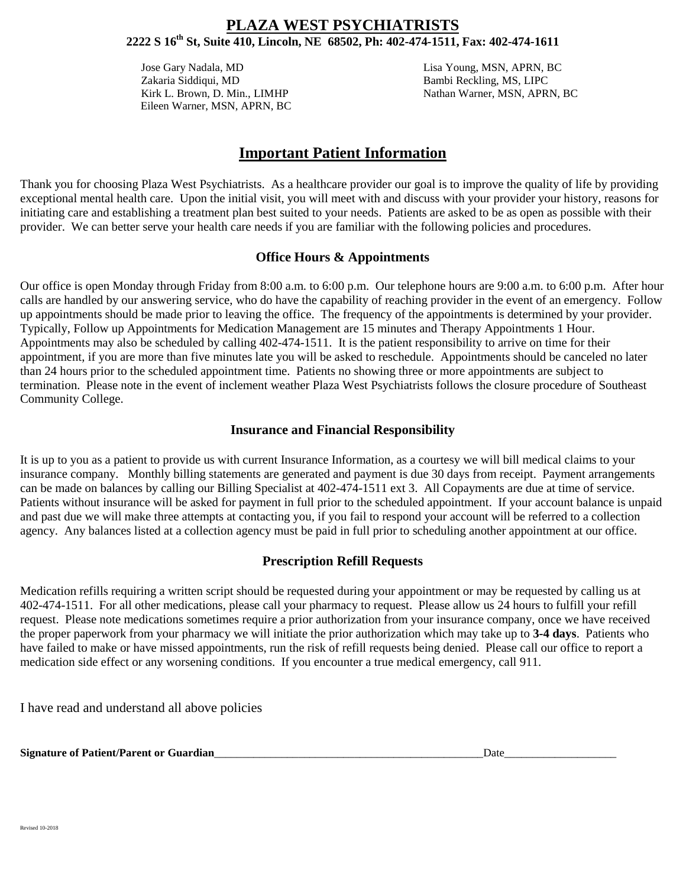Jose Gary Nadala, MD Lisa Young, MSN, APRN, BC Zakaria Siddiqui, MD Bambi Reckling, MS, LIPC Eileen Warner, MSN, APRN, BC

Kirk L. Brown, D. Min., LIMHP Nathan Warner, MSN, APRN, BC

# **Important Patient Information**

Thank you for choosing Plaza West Psychiatrists. As a healthcare provider our goal is to improve the quality of life by providing exceptional mental health care. Upon the initial visit, you will meet with and discuss with your provider your history, reasons for initiating care and establishing a treatment plan best suited to your needs. Patients are asked to be as open as possible with their provider. We can better serve your health care needs if you are familiar with the following policies and procedures.

### **Office Hours & Appointments**

Our office is open Monday through Friday from 8:00 a.m. to 6:00 p.m. Our telephone hours are 9:00 a.m. to 6:00 p.m. After hour calls are handled by our answering service, who do have the capability of reaching provider in the event of an emergency. Follow up appointments should be made prior to leaving the office. The frequency of the appointments is determined by your provider. Typically, Follow up Appointments for Medication Management are 15 minutes and Therapy Appointments 1 Hour. Appointments may also be scheduled by calling 402-474-1511. It is the patient responsibility to arrive on time for their appointment, if you are more than five minutes late you will be asked to reschedule. Appointments should be canceled no later than 24 hours prior to the scheduled appointment time. Patients no showing three or more appointments are subject to termination. Please note in the event of inclement weather Plaza West Psychiatrists follows the closure procedure of Southeast Community College.

### **Insurance and Financial Responsibility**

It is up to you as a patient to provide us with current Insurance Information, as a courtesy we will bill medical claims to your insurance company. Monthly billing statements are generated and payment is due 30 days from receipt. Payment arrangements can be made on balances by calling our Billing Specialist at 402-474-1511 ext 3. All Copayments are due at time of service. Patients without insurance will be asked for payment in full prior to the scheduled appointment. If your account balance is unpaid and past due we will make three attempts at contacting you, if you fail to respond your account will be referred to a collection agency. Any balances listed at a collection agency must be paid in full prior to scheduling another appointment at our office.

### **Prescription Refill Requests**

Medication refills requiring a written script should be requested during your appointment or may be requested by calling us at 402-474-1511. For all other medications, please call your pharmacy to request. Please allow us 24 hours to fulfill your refill request. Please note medications sometimes require a prior authorization from your insurance company, once we have received the proper paperwork from your pharmacy we will initiate the prior authorization which may take up to **3-4 days**. Patients who have failed to make or have missed appointments, run the risk of refill requests being denied. Please call our office to report a medication side effect or any worsening conditions. If you encounter a true medical emergency, call 911.

I have read and understand all above policies

**Signature of Patient/Parent or Guardian**